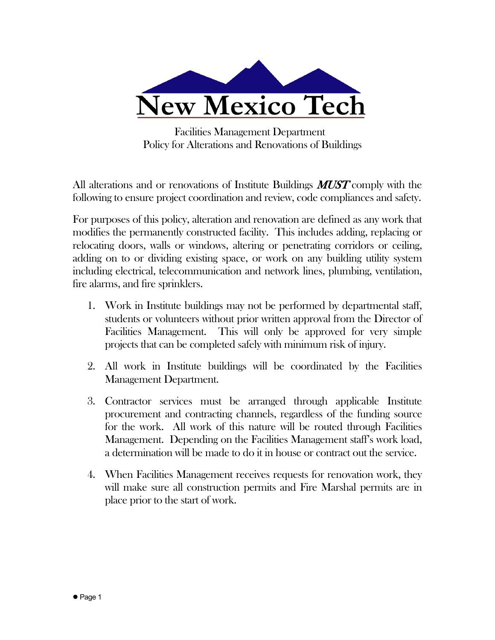

 Facilities Management Department Policy for Alterations and Renovations of Buildings

All alterations and or renovations of Institute Buildings  $MUST$  comply with the following to ensure project coordination and review, code compliances and safety.

For purposes of this policy, alteration and renovation are defined as any work that modifies the permanently constructed facility. This includes adding, replacing or relocating doors, walls or windows, altering or penetrating corridors or ceiling, adding on to or dividing existing space, or work on any building utility system including electrical, telecommunication and network lines, plumbing, ventilation, fire alarms, and fire sprinklers.

- 1. Work in Institute buildings may not be performed by departmental staff, students or volunteers without prior written approval from the Director of Facilities Management. This will only be approved for very simple projects that can be completed safely with minimum risk of injury.
- 2. All work in Institute buildings will be coordinated by the Facilities Management Department.
- 3. Contractor services must be arranged through applicable Institute procurement and contracting channels, regardless of the funding source for the work. All work of this nature will be routed through Facilities Management. Depending on the Facilities Management staff's work load, a determination will be made to do it in house or contract out the service.
- 4. When Facilities Management receives requests for renovation work, they will make sure all construction permits and Fire Marshal permits are in place prior to the start of work.